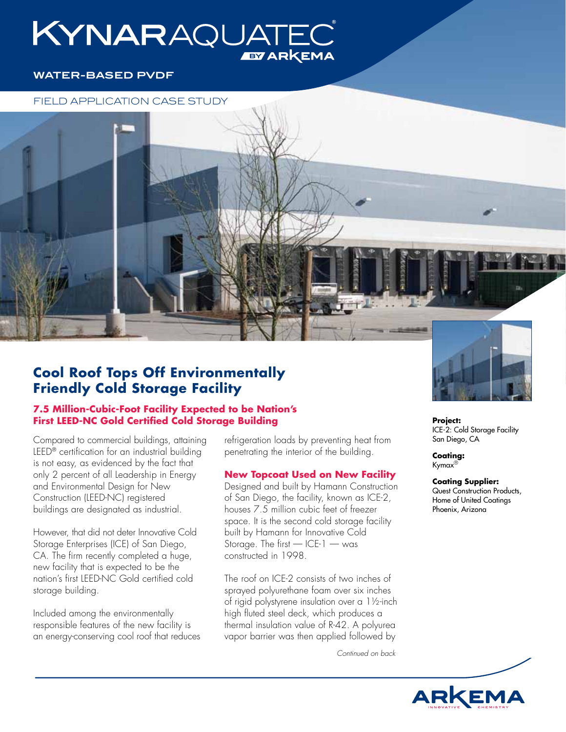# KYNARAQUATE **EY ARKEMA**

## **WATER-BASED PVDF**

## FIELD APPLICATION CASE STUDY

# **Cool Roof Tops Off Environmentally Friendly Cold Storage Facility**

## **7.5 Million-Cubic-Foot Facility Expected to be Nation's First LEED-NC Gold Certified Cold Storage Building**

Compared to commercial buildings, attaining LEED® certification for an industrial building is not easy, as evidenced by the fact that only 2 percent of all Leadership in Energy and Environmental Design for New Construction (LEED-NC) registered buildings are designated as industrial.

However, that did not deter Innovative Cold Storage Enterprises (ICE) of San Diego, CA. The firm recently completed a huge, new facility that is expected to be the nation's first LEED-NC Gold certified cold storage building.

Included among the environmentally responsible features of the new facility is an energy-conserving cool roof that reduces refrigeration loads by preventing heat from penetrating the interior of the building.

## **New Topcoat Used on New Facility**

Designed and built by Hamann Construction of San Diego, the facility, known as ICE-2, houses 7.5 million cubic feet of freezer space. It is the second cold storage facility built by Hamann for Innovative Cold Storage. The first — ICE-1 — was constructed in 1998.

The roof on ICE-2 consists of two inches of sprayed polyurethane foam over six inches of rigid polystyrene insulation over a 1½-inch high fluted steel deck, which produces a thermal insulation value of R-42. A polyurea vapor barrier was then applied followed by

*Continued on back*



**Project:** ICE-2: Cold Storage Facility San Diego, CA

**Coating:** Kymax®

**Coating Supplier:** Quest Construction Products, Home of United Coatings Phoenix, Arizona